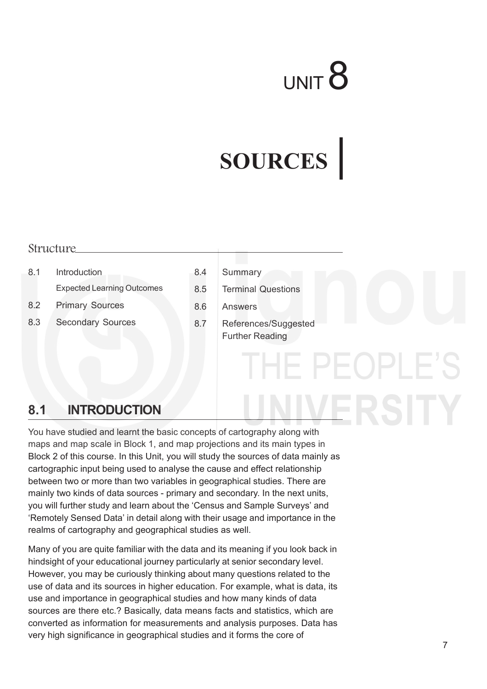# UNIT<sup>8</sup>

HE PEOPLE'S

**JERSITY** 

# **SOURCES**

#### **Structure**

- 8.1 Introduction Expected Learning Outcomes
- 8.2 Primary Sources
- 
- 8.3 Secondary Sources
- 8.4 Summary
- 8.5 Terminal Questions
- 8.6 Answers
- 8.7 References/Suggested Further Reading

# **8.1 INTRODUCTION**

You have studied and learnt the basic concepts of cartography along with maps and map scale in Block 1, and map projections and its main types in Block 2 of this course. In this Unit, you will study the sources of data mainly as cartographic input being used to analyse the cause and effect relationship between two or more than two variables in geographical studies. There are mainly two kinds of data sources - primary and secondary. In the next units, you will further study and learn about the 'Census and Sample Surveys' and 'Remotely Sensed Data' in detail along with their usage and importance in the realms of cartography and geographical studies as well.

Many of you are quite familiar with the data and its meaning if you look back in hindsight of your educational journey particularly at senior secondary level. However, you may be curiously thinking about many questions related to the use of data and its sources in higher education. For example, what is data, its use and importance in geographical studies and how many kinds of data sources are there etc.? Basically, data means facts and statistics, which are converted as information for measurements and analysis purposes. Data has very high significance in geographical studies and it forms the core of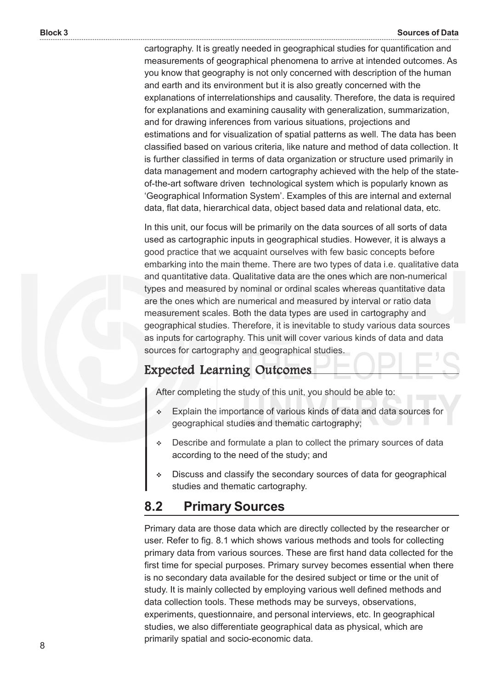cartography. It is greatly needed in geographical studies for quantification and measurements of geographical phenomena to arrive at intended outcomes. As you know that geography is not only concerned with description of the human and earth and its environment but it is also greatly concerned with the explanations of interrelationships and causality. Therefore, the data is required for explanations and examining causality with generalization, summarization, and for drawing inferences from various situations, projections and estimations and for visualization of spatial patterns as well. The data has been classified based on various criteria, like nature and method of data collection. It is further classified in terms of data organization or structure used primarily in data management and modern cartography achieved with the help of the stateof-the-art software driven technological system which is popularly known as 'Geographical Information System'. Examples of this are internal and external data, flat data, hierarchical data, object based data and relational data, etc.

In this unit, our focus will be primarily on the data sources of all sorts of data used as cartographic inputs in geographical studies. However, it is always a good practice that we acquaint ourselves with few basic concepts before embarking into the main theme. There are two types of data i.e. qualitative data and quantitative data. Qualitative data are the ones which are non-numerical types and measured by nominal or ordinal scales whereas quantitative data are the ones which are numerical and measured by interval or ratio data measurement scales. Both the data types are used in cartography and geographical studies. Therefore, it is inevitable to study various data sources as inputs for cartography. This unit will cover various kinds of data and data sources for cartography and geographical studies.

#### Expected Learning Outcomes Expected Learning Outcomes

After completing the study of this unit, you should be able to:

- Explain the importance of various kinds of data and data sources for geographical studies and thematic cartography;
- Describe and formulate a plan to collect the primary sources of data according to the need of the study; and
- Discuss and classify the secondary sources of data for geographical studies and thematic cartography.

### **8.2 Primary Sources**

Primary data are those data which are directly collected by the researcher or user. Refer to fig. 8.1 which shows various methods and tools for collecting primary data from various sources. These are first hand data collected for the first time for special purposes. Primary survey becomes essential when there is no secondary data available for the desired subject or time or the unit of study. It is mainly collected by employing various well defined methods and data collection tools. These methods may be surveys, observations, experiments, questionnaire, and personal interviews, etc. In geographical studies, we also differentiate geographical data as physical, which are primarily spatial and socio-economic data.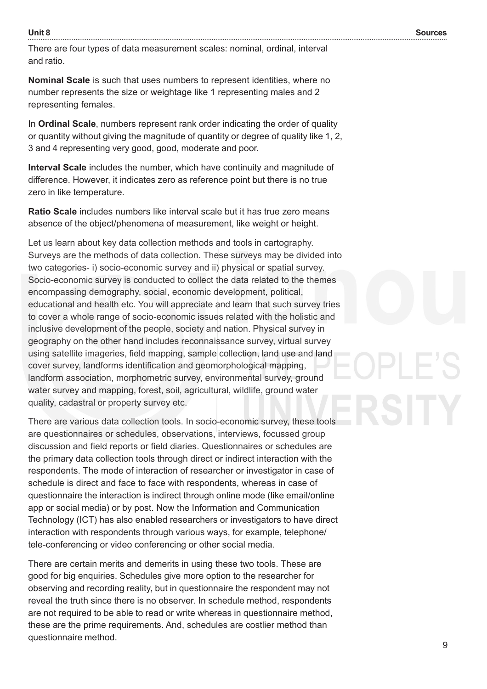There are four types of data measurement scales: nominal, ordinal, interval and ratio.

**Nominal Scale** is such that uses numbers to represent identities, where no number represents the size or weightage like 1 representing males and 2 representing females.

In **Ordinal Scale**, numbers represent rank order indicating the order of quality or quantity without giving the magnitude of quantity or degree of quality like 1, 2, 3 and 4 representing very good, good, moderate and poor.

**Interval Scale** includes the number, which have continuity and magnitude of difference. However, it indicates zero as reference point but there is no true zero in like temperature.

**Ratio Scale** includes numbers like interval scale but it has true zero means absence of the object/phenomena of measurement, like weight or height.

Let us learn about key data collection methods and tools in cartography. Surveys are the methods of data collection. These surveys may be divided into two categories- i) socio-economic survey and ii) physical or spatial survey. Socio-economic survey is conducted to collect the data related to the themes encompassing demography, social, economic development, political, educational and health etc. You will appreciate and learn that such survey tries to cover a whole range of socio-economic issues related with the holistic and inclusive development of the people, society and nation. Physical survey in geography on the other hand includes reconnaissance survey, virtual survey using satellite imageries, field mapping, sample collection, land use and land cover survey, landforms identification and geomorphological mapping, landform association, morphometric survey, environmental survey, ground water survey and mapping, forest, soil, agricultural, wildlife, ground water quality, cadastral or property survey etc.

There are various data collection tools. In socio-economic survey, these tools are questionnaires or schedules, observations, interviews, focussed group discussion and field reports or field diaries. Questionnaires or schedules are the primary data collection tools through direct or indirect interaction with the respondents. The mode of interaction of researcher or investigator in case of schedule is direct and face to face with respondents, whereas in case of questionnaire the interaction is indirect through online mode (like email/online app or social media) or by post. Now the Information and Communication Technology (ICT) has also enabled researchers or investigators to have direct interaction with respondents through various ways, for example, telephone/ tele-conferencing or video conferencing or other social media.

There are certain merits and demerits in using these two tools. These are good for big enquiries. Schedules give more option to the researcher for observing and recording reality, but in questionnaire the respondent may not reveal the truth since there is no observer. In schedule method, respondents are not required to be able to read or write whereas in questionnaire method, these are the prime requirements. And, schedules are costlier method than questionnaire method.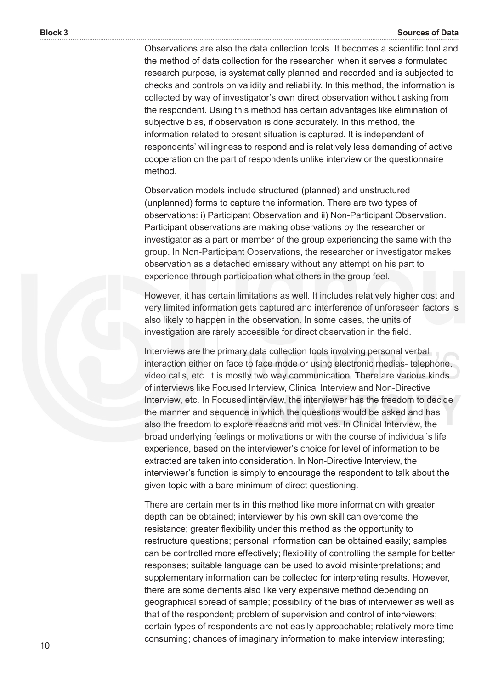Observations are also the data collection tools. It becomes a scientific tool and the method of data collection for the researcher, when it serves a formulated research purpose, is systematically planned and recorded and is subjected to checks and controls on validity and reliability. In this method, the information is collected by way of investigator's own direct observation without asking from the respondent. Using this method has certain advantages like elimination of subjective bias, if observation is done accurately. In this method, the information related to present situation is captured. It is independent of respondents' willingness to respond and is relatively less demanding of active cooperation on the part of respondents unlike interview or the questionnaire method.

Observation models include structured (planned) and unstructured (unplanned) forms to capture the information. There are two types of observations: i) Participant Observation and ii) Non-Participant Observation. Participant observations are making observations by the researcher or investigator as a part or member of the group experiencing the same with the group. In Non-Participant Observations, the researcher or investigator makes observation as a detached emissary without any attempt on his part to experience through participation what others in the group feel.

However, it has certain limitations as well. It includes relatively higher cost and very limited information gets captured and interference of unforeseen factors is also likely to happen in the observation. In some cases, the units of investigation are rarely accessible for direct observation in the field.

Interviews are the primary data collection tools involving personal verbal interaction either on face to face mode or using electronic medias- telephone, video calls, etc. It is mostly two way communication. There are various kinds of interviews like Focused Interview, Clinical Interview and Non-Directive Interview, etc. In Focused interview, the interviewer has the freedom to decide the manner and sequence in which the questions would be asked and has also the freedom to explore reasons and motives. In Clinical Interview, the broad underlying feelings or motivations or with the course of individual's life experience, based on the interviewer's choice for level of information to be extracted are taken into consideration. In Non-Directive Interview, the interviewer's function is simply to encourage the respondent to talk about the given topic with a bare minimum of direct questioning.

There are certain merits in this method like more information with greater depth can be obtained; interviewer by his own skill can overcome the resistance; greater flexibility under this method as the opportunity to restructure questions; personal information can be obtained easily; samples can be controlled more effectively; flexibility of controlling the sample for better responses; suitable language can be used to avoid misinterpretations; and supplementary information can be collected for interpreting results. However, there are some demerits also like very expensive method depending on geographical spread of sample; possibility of the bias of interviewer as well as that of the respondent; problem of supervision and control of interviewers; certain types of respondents are not easily approachable; relatively more timeconsuming; chances of imaginary information to make interview interesting;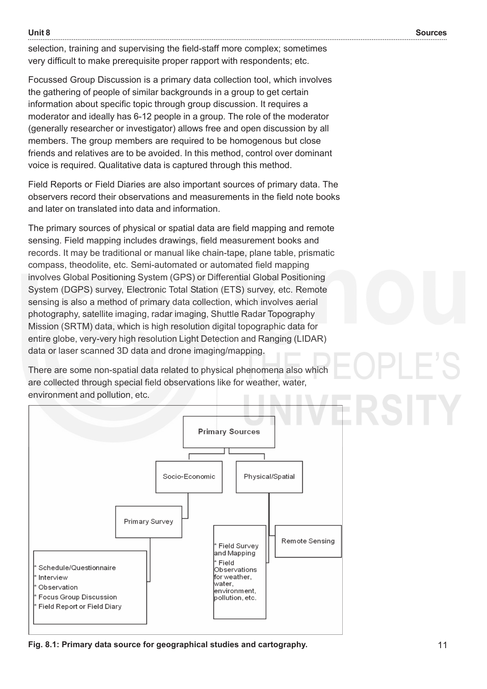selection, training and supervising the field-staff more complex; sometimes very difficult to make prerequisite proper rapport with respondents; etc.

Focussed Group Discussion is a primary data collection tool, which involves the gathering of people of similar backgrounds in a group to get certain information about specific topic through group discussion. It requires a moderator and ideally has 6-12 people in a group. The role of the moderator (generally researcher or investigator) allows free and open discussion by all members. The group members are required to be homogenous but close friends and relatives are to be avoided. In this method, control over dominant voice is required. Qualitative data is captured through this method.

Field Reports or Field Diaries are also important sources of primary data. The observers record their observations and measurements in the field note books and later on translated into data and information.

The primary sources of physical or spatial data are field mapping and remote sensing. Field mapping includes drawings, field measurement books and records. It may be traditional or manual like chain-tape, plane table, prismatic compass, theodolite, etc. Semi-automated or automated field mapping involves Global Positioning System (GPS) or Differential Global Positioning System (DGPS) survey, Electronic Total Station (ETS) survey, etc. Remote sensing is also a method of primary data collection, which involves aerial photography, satellite imaging, radar imaging, Shuttle Radar Topography Mission (SRTM) data, which is high resolution digital topographic data for entire globe, very-very high resolution Light Detection and Ranging (LIDAR) data or laser scanned 3D data and drone imaging/mapping.

There are some non-spatial data related to physical phenomena also which are collected through special field observations like for weather, water, environment and pollution, etc.



**Fig. 8.1: Primary data source for geographical studies and cartography.**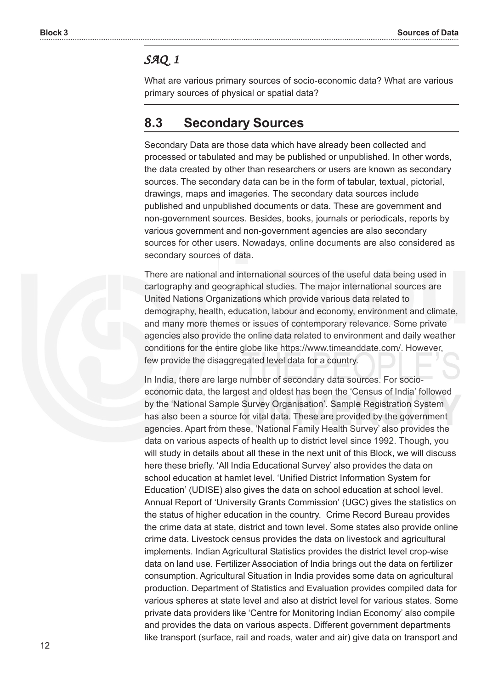#### *SAQ 1*

What are various primary sources of socio-economic data? What are various primary sources of physical or spatial data?

## **8.3 Secondary Sources**

Secondary Data are those data which have already been collected and processed or tabulated and may be published or unpublished. In other words, the data created by other than researchers or users are known as secondary sources. The secondary data can be in the form of tabular, textual, pictorial, drawings, maps and imageries. The secondary data sources include published and unpublished documents or data. These are government and non-government sources. Besides, books, journals or periodicals, reports by various government and non-government agencies are also secondary sources for other users. Nowadays, online documents are also considered as secondary sources of data.

There are national and international sources of the useful data being used in cartography and geographical studies. The major international sources are United Nations Organizations which provide various data related to demography, health, education, labour and economy, environment and climate, and many more themes or issues of contemporary relevance. Some private agencies also provide the online data related to environment and daily weather conditions for the entire globe like https://www.timeanddate.com/. However, few provide the disaggregated level data for a country.

In India, there are large number of secondary data sources. For socioeconomic data, the largest and oldest has been the 'Census of India' followed by the 'National Sample Survey Organisation'. Sample Registration System has also been a source for vital data. These are provided by the government agencies. Apart from these, 'National Family Health Survey' also provides the data on various aspects of health up to district level since 1992. Though, you will study in details about all these in the next unit of this Block, we will discuss here these briefly. 'All India Educational Survey' also provides the data on school education at hamlet level. 'Unified District Information System for Education' (UDISE) also gives the data on school education at school level. Annual Report of 'University Grants Commission' (UGC) gives the statistics on the status of higher education in the country. Crime Record Bureau provides the crime data at state, district and town level. Some states also provide online crime data. Livestock census provides the data on livestock and agricultural implements. Indian Agricultural Statistics provides the district level crop-wise data on land use. Fertilizer Association of India brings out the data on fertilizer consumption. Agricultural Situation in India provides some data on agricultural production. Department of Statistics and Evaluation provides compiled data for various spheres at state level and also at district level for various states. Some private data providers like 'Centre for Monitoring Indian Economy' also compile and provides the data on various aspects. Different government departments like transport (surface, rail and roads, water and air) give data on transport and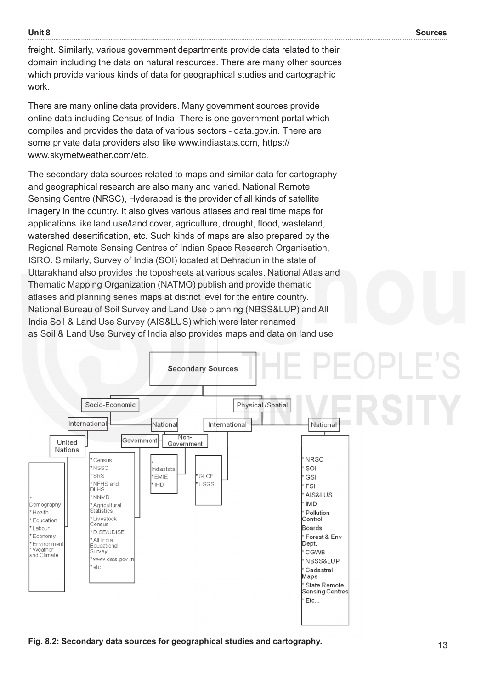**Unit 8**

freight. Similarly, various government departments provide data related to their domain including the data on natural resources. There are many other sources which provide various kinds of data for geographical studies and cartographic work.

There are many online data providers. Many government sources provide online data including Census of India. There is one government portal which compiles and provides the data of various sectors - data.gov.in. There are some private data providers also like www.indiastats.com, https:// www.skymetweather.com/etc.

The secondary data sources related to maps and similar data for cartography and geographical research are also many and varied. National Remote Sensing Centre (NRSC), Hyderabad is the provider of all kinds of satellite imagery in the country. It also gives various atlases and real time maps for applications like land use/land cover, agriculture, drought, flood, wasteland, watershed desertification, etc. Such kinds of maps are also prepared by the Regional Remote Sensing Centres of Indian Space Research Organisation, ISRO. Similarly, Survey of India (SOI) located at Dehradun in the state of Uttarakhand also provides the toposheets at various scales. National Atlas and Thematic Mapping Organization (NATMO) publish and provide thematic atlases and planning series maps at district level for the entire country. National Bureau of Soil Survey and Land Use planning (NBSS&LUP) and All India Soil & Land Use Survey (AIS&LUS) which were later renamed as Soil & Land Use Survey of India also provides maps and data on land use

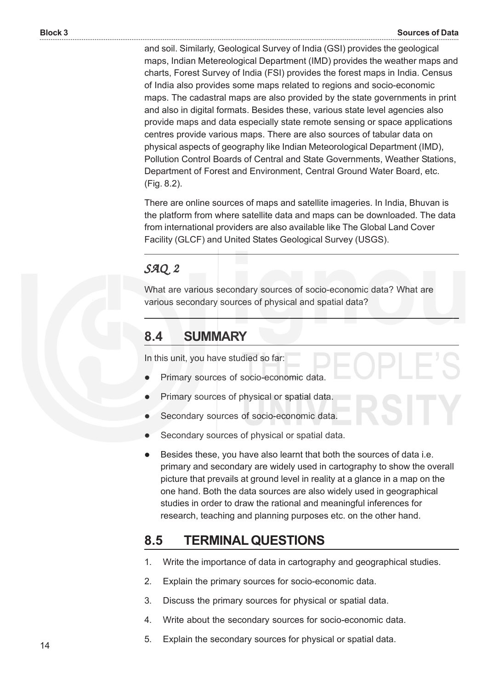and soil. Similarly, Geological Survey of India (GSI) provides the geological maps, Indian Metereological Department (IMD) provides the weather maps and charts, Forest Survey of India (FSI) provides the forest maps in India. Census of India also provides some maps related to regions and socio-economic maps. The cadastral maps are also provided by the state governments in print and also in digital formats. Besides these, various state level agencies also provide maps and data especially state remote sensing or space applications centres provide various maps. There are also sources of tabular data on physical aspects of geography like Indian Meteorological Department (IMD), Pollution Control Boards of Central and State Governments, Weather Stations, Department of Forest and Environment, Central Ground Water Board, etc. (Fig. 8.2).

There are online sources of maps and satellite imageries. In India, Bhuvan is the platform from where satellite data and maps can be downloaded. The data from international providers are also available like The Global Land Cover Facility (GLCF) and United States Geological Survey (USGS).

#### *SAQ 2*

What are various secondary sources of socio-economic data? What are various secondary sources of physical and spatial data?

## **8.4 SUMMARY**

In this unit, you have studied so far:

- Primary sources of socio-economic data.
- Primary sources of physical or spatial data.
- Secondary sources of socio-economic data.
- Secondary sources of physical or spatial data.
- Besides these, you have also learnt that both the sources of data i.e. primary and secondary are widely used in cartography to show the overall picture that prevails at ground level in reality at a glance in a map on the one hand. Both the data sources are also widely used in geographical studies in order to draw the rational and meaningful inferences for research, teaching and planning purposes etc. on the other hand.

# **8.5 TERMINAL QUESTIONS**

- 1. Write the importance of data in cartography and geographical studies.
- 2. Explain the primary sources for socio-economic data.
- 3. Discuss the primary sources for physical or spatial data.
- 4. Write about the secondary sources for socio-economic data.
- 5. Explain the secondary sources for physical or spatial data.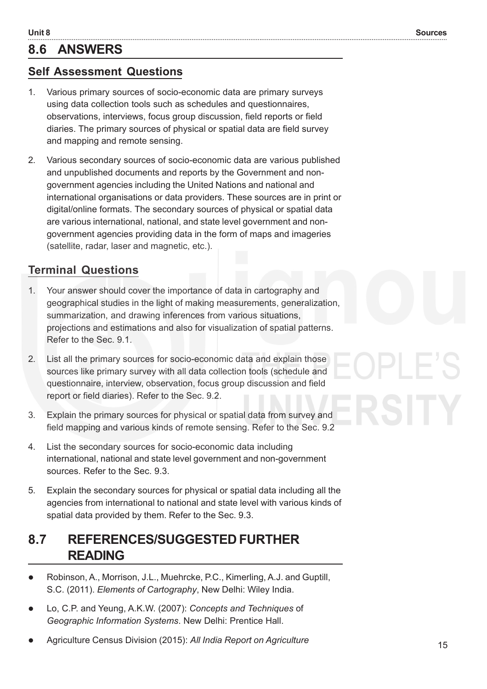# **8.6 ANSWERS**

#### **Self Assessment Questions**

- 1. Various primary sources of socio-economic data are primary surveys using data collection tools such as schedules and questionnaires, observations, interviews, focus group discussion, field reports or field diaries. The primary sources of physical or spatial data are field survey and mapping and remote sensing.
- 2. Various secondary sources of socio-economic data are various published and unpublished documents and reports by the Government and nongovernment agencies including the United Nations and national and international organisations or data providers. These sources are in print or digital/online formats. The secondary sources of physical or spatial data are various international, national, and state level government and nongovernment agencies providing data in the form of maps and imageries (satellite, radar, laser and magnetic, etc.).

### **Terminal Questions**

- 1. Your answer should cover the importance of data in cartography and geographical studies in the light of making measurements, generalization, summarization, and drawing inferences from various situations, projections and estimations and also for visualization of spatial patterns. Refer to the Sec. 9.1.
- 2. List all the primary sources for socio-economic data and explain those sources like primary survey with all data collection tools (schedule and questionnaire, interview, observation, focus group discussion and field report or field diaries). Refer to the Sec. 9.2.
- 3. Explain the primary sources for physical or spatial data from survey and field mapping and various kinds of remote sensing. Refer to the Sec. 9.2
- 4. List the secondary sources for socio-economic data including international, national and state level government and non-government sources. Refer to the Sec. 9.3.
- 5. Explain the secondary sources for physical or spatial data including all the agencies from international to national and state level with various kinds of spatial data provided by them. Refer to the Sec. 9.3.

# **8.7 REFERENCES/SUGGESTED FURTHER READING**

- Robinson, A., Morrison, J.L., Muehrcke, P.C., Kimerling, A.J. and Guptill, S.C. (2011). *Elements of Cartography*, New Delhi: Wiley India.
- Lo, C.P. and Yeung, A.K.W. (2007): *Concepts and Techniques* of *Geographic Information Systems*. New Delhi: Prentice Hall.
- Agriculture Census Division (2015): *All India Report on Agriculture*